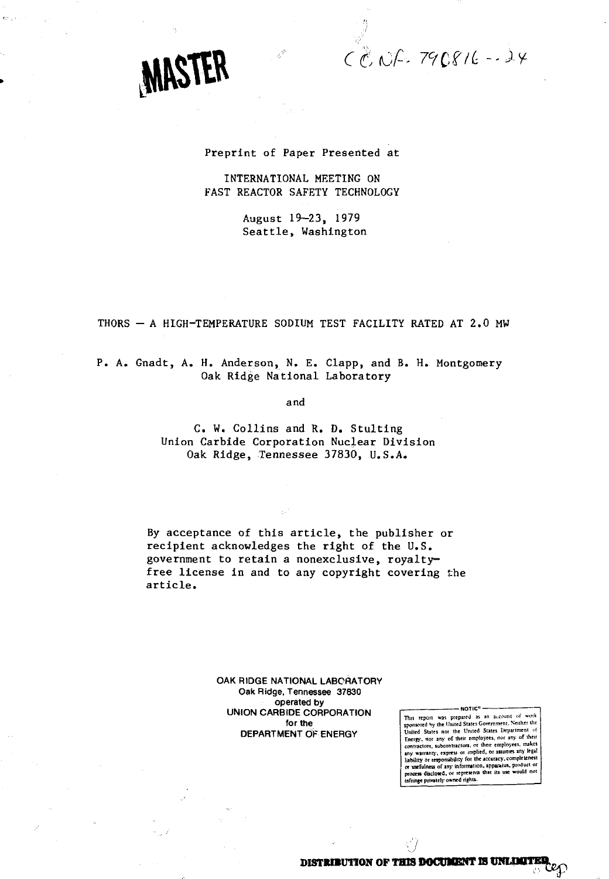$CCD$   $CPL$   $790816 - 24$ 

# MASTER

# Preprint of Paper Presented at

# INTERNATIONAL MEETING ON FAST REACTOR SAFETY TECHNOLOGY

August 19-23, 1979 Seattle, Washington

# THORS - A HIGH-TEMPERATURE SODIUM TEST FACILITY RATED AT 2.0 MW

P. A. Gnadt, A. H. Anderson, N. E. Clapp, and B. H. Montgomery-Oak Ridge National Laboratory

and

C. W. Collins and R. D. Stulting Union Carbide Corporation Nuclear Division Oak Ridge, Tennessee 37830, U.S.A.

By acceptance of this article, the publisher or recipient acknowledges the right of the U.S. government to retain a nonexclusive, royaltyfree license in and to any copyright covering the article.

> **OAK RIDGE NATIONAL LABORATORY Oak Ridge, Tennessee 37830 operated by UNION CARBIDE CORPORATION for the DEPARTMENT OF ENERGY**

NOTIC<sup>-</sup> Was prepared as an account of work<br>sponsored by the United States Government. Neither the<br>United States nor the United States Lepartment of<br>Energy, we any of their employees, no any of their<br>contractors, solventra **any warranty, express or implied, or assumes any legal liability or responsibility for the accuracy, completeness or usefulness of any information, apparatus, product or process disdoaed, or represents lhal its use would not infringe privately owned rights.**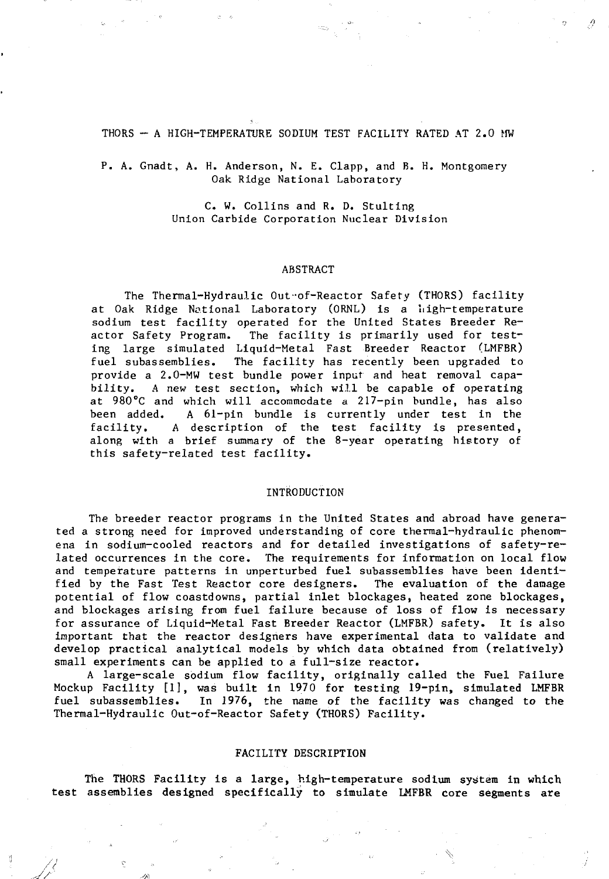#### THORS - A HIGH-TEMPERATURE SODIUM TEST FACILITY RATED AT 2.0 MW

P. A. Gnadt, A. H. Anderson, N. E. Clapp, and B. H. Montgomery Oak Ridge National Laboratory

> C. W. Collins and R. D. Stulting Union Carbide Corporation Nuclear Division

#### ABSTRACT

The Thermal-Hydraulic Out of-Reactor Safety (THORS) facility at Oak Ridge National Laboratory (ORNL) is a high-temperature sodium test facility operated for the United States Breeder Reactor Safety Program. The facility is primarily used for testing large simulated Liquid-Metal Fast Breeder Reactor (LMFBR) fuel subassemblies. The facility has recently been upgraded to provide a 2.0-MW test bundle power input and heat removal capability. A new test section, which will be capable of operating at 980°C and which will accommodate a 217-pin bundle, has also been added. A 61-pin bundle is currently under test in the facility. A description of the test facility is presented, along with a brief summary of the 8-year operating history of this safety-related test facility.

#### INTRODUCTION

The breeder reactor programs in the United States and abroad have generated a strong need for improved understanding of core thermal-hydraulic phenomena in sodium-cooled reactors and for detailed investigations of safety-related occurrences in the core. The requirements for information on local flow and temperature patterns in unperturbed fuel subassemblies have been identified by the Fast Test Reactor core designers. The evaluation of the damage potential of flow coastdowns, partial inlet blockages, heated zone blockages, and blockages arising from fuel failure because of loss of flow is necessary for assurance of Liquid-Metal Fast Breeder Reactor (LMFBR) safety. It is also important that the reactor designers have experimental data to validate and develop practical analytical models by which data obtained from (relatively) small experiments can be applied to a full-size reactor.

A large-scale sodium flow facility, originally called the Fuel Failure Mockup Facility [1], was built in 1970 for testing 19-pin, simulated LMFBR fuel subassemblies. In 1976, the name of the facility was changed to the Thermal-Hydraulic Out-of-Reactor Safety (THORS) Facility.

### FACILITY DESCRIPTION

The THORS Facility is a large, high-temperature sodium system in which test assemblies designed specifically to simulate LMFBR core segments are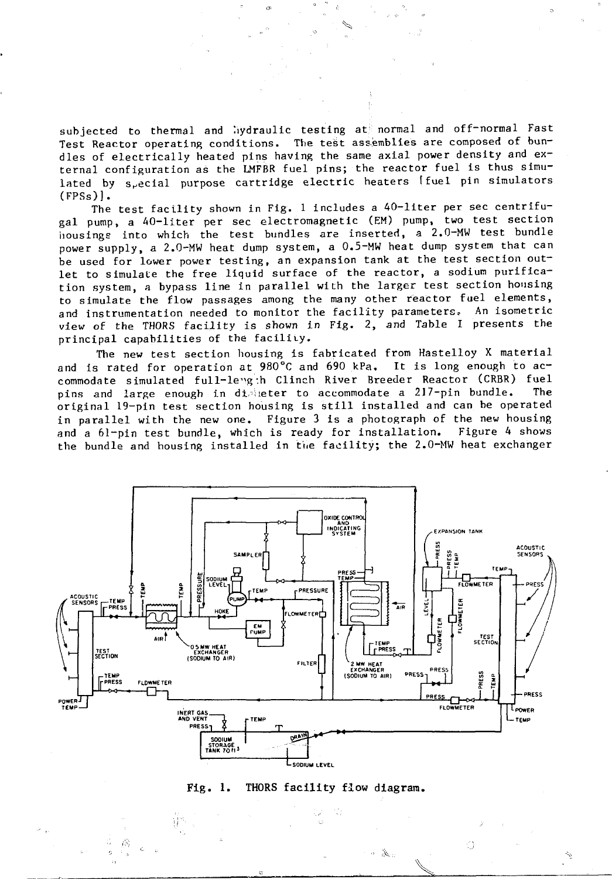subjected to thermal and hydraulic testing at normal and off-normal Fast Test Reactor operating conditions. The test assemblies are composed of bundles of electrically heated pins having the same axial power density and external configuration as the LMFBR fuel pins; the reactor fuel is thus simulated by s<sub>r</sub>ecial purpose cartridge electric heaters (fuel pin simulators (FPSs)].

The test facility shown in Fig. 1 includes a 40-liter per sec centrifugal pump, a AO-liter per sec electromagnetic (EM) pump, two test section housings into which the test bundles are inserted, a 2.0-MW test bundle power supply, a 2.0-MW heat dump system, a 0.5-MW heat dump system that can be used for lower power testing, an expansion tank at the test section outlet to simulate the free liquid surface of the reactor, a sodium purification system, a bypass line in parallel with the larger test section housing to simulate the flow passages among the many other reactor fuel elements, and instrumentation needed to monitor the facility parameters. An isometric view of the THORS facility is shown in Fig. 2, and Table I presents the principal capabilities of the facility.

The new test section housing is fabricated from Hastelloy X material and is rated for operation at 980°C and 690 kPa. It is long enough to accommodate simulated full-levg:h Clinch River Breeder Reactor (CRBR) fuel pins and large enough in disteter to accommodate a 217-pin bundle. The original 19-pin test section housing is still installed and can be operated in parallel with the new one. Figure 3 is a photograph of the new housing and a 61-pin test bundle, which is ready for installation. Figure 4 shows the bundle and housing installed in the facility; the 2.0-MW heat exchanger



## **Fig. 1. THORS facility flow diagram.**

Ö

送.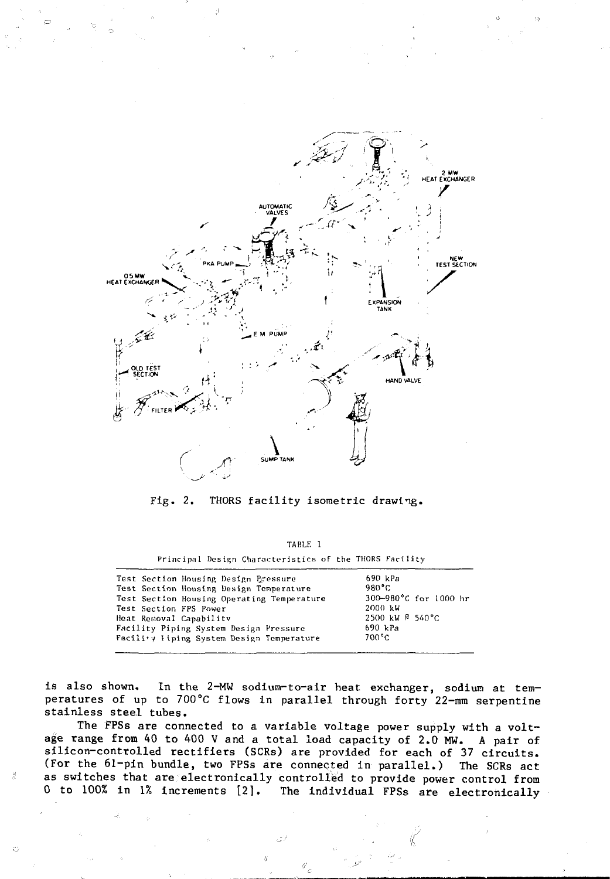

Fig. 2. THORS facility isometric drawing.

| TABLE I |                                                        |  |  |  |  |
|---------|--------------------------------------------------------|--|--|--|--|
|         | Principal Design Characteristics of the THORS Facility |  |  |  |  |

| Test Section Housing Design Pressure<br>Test Section Housing Design Temperature<br>Test Section Housing Operating Temperature<br>Test Section FPS Power<br>Heat Removal Capability | 690 kPa<br>980°C<br>300-980°C for 1000 hr<br>$2000 \; \text{kW}$<br>$2500 \; \text{kW}$ $\text{C}$ 540 °C |
|------------------------------------------------------------------------------------------------------------------------------------------------------------------------------------|-----------------------------------------------------------------------------------------------------------|
| Facility Piping System Design Pressure                                                                                                                                             | 690 kPa                                                                                                   |
| Facility Hiping System Design Temperature                                                                                                                                          | 700°C                                                                                                     |

is also shown. In the 2-MW sodium-to-air heat exchanger, sodium at temperatures of up to 700°C flows in parallel through forty 22-mm serpentine stainless steel tubes.

The FPSs are connected to a variable voltage power supply with a voltage range from 40 to 400 V and a total load capacity of 2.0 MW. A pair of silicon-controlled rectifiers (SCRs) are provided for each of 37 circuits. (For the 61-pin bundle, two FPSs are connected in parallel.) The SCRs act as switches that are electronically controlled to provide power control from 0 to 100% in 1% increments [2]. The individual FPSs are electronically

괉

C)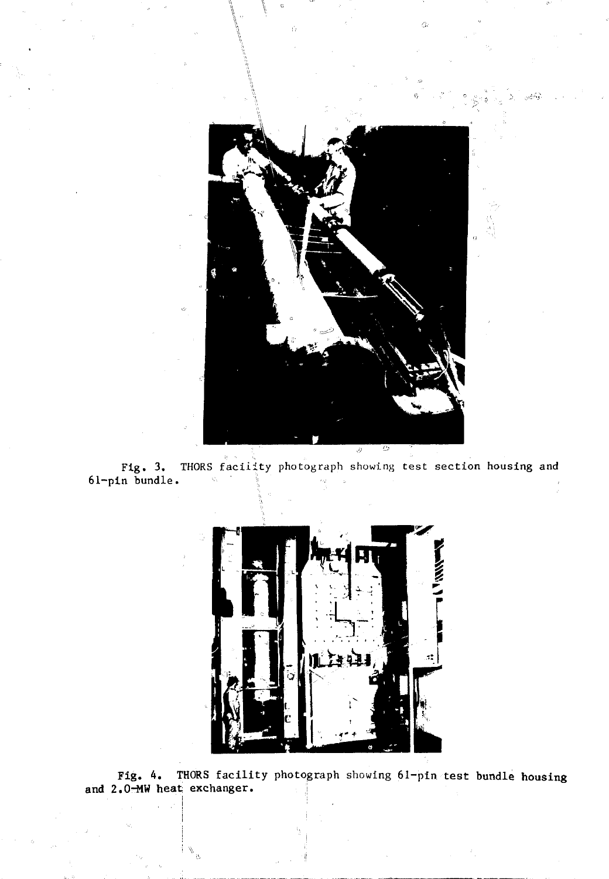

Zb.

Fig. 3. THORS facility photograph showing test **section housing and 61-pln bundle. ' \ • •• --**



**Fig. 4. THORS facility photograph** showing **61-pin test bundle housing** and 2.0<sup>-MW</sup> heat exchanger.

**i**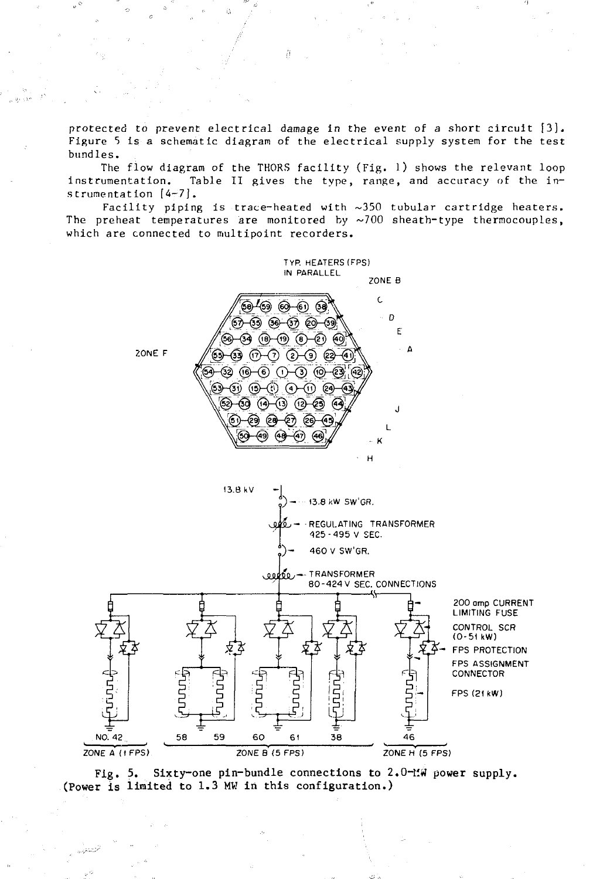protected to prevent electrical damage in the event of a short circuit [3]. Figure 5 is a schematic diagram of the electrical supply system for the test bundles.

The flow diagram of the THORS facility (Fig. 1) shows the relevant loop instrumentation. Table II gives the type, range, and accuracy of the instrumentation [4-7].

Facility piping is trace-heated with ~350 tubular cartridge heaters. The preheat temperatures are monitored by  $\sim$ 700 sheath-type thermocouples, which are connected to multipoint recorders.



**Fig. 5. Sixty-one pin-bundle connections to 2.0-MW power supply. (Power is limited to 1.3 MW in this configuration.)**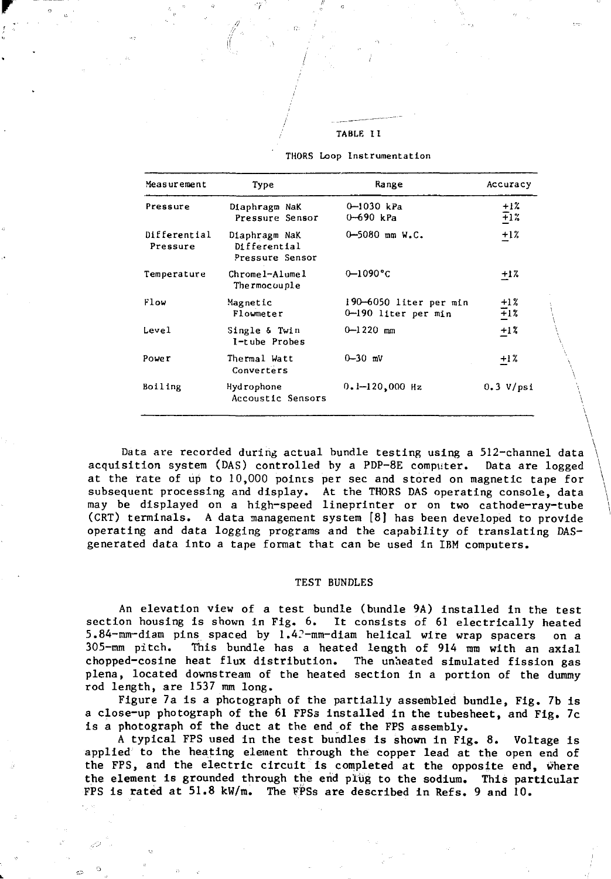TABLE 11

| Measurement              | Type                                             | Range                                         | Accuracy         |  |
|--------------------------|--------------------------------------------------|-----------------------------------------------|------------------|--|
| Pressure                 | Diaphragm NaK<br>Pressure Sensor                 | 0-1030 kPa<br>$0 - 690$ kPa                   | $^{+12}_{+12}$   |  |
| Differential<br>Pressure | Diaphragm NaK<br>Differential<br>Pressure Sensor | $0 - 5080$ mm W.C.                            | $+1%$            |  |
| Temperature              | $Chrome1 - Alume1$<br>Thermocouple               | $0 - 1090$ °C                                 | +1%              |  |
| Flow                     | Magnetic<br>Flowmeter                            | 190—6050 liter per min<br>0-190 liter per min | $\frac{+1}{1}$ % |  |
| Level                    | Single & Twin<br>I-tube Probes                   | $0 - 1220$ mm                                 | $+17$            |  |
| Pover                    | Thermal Watt<br>Converters                       | $0 - 30$ mV                                   | $+1%$            |  |
| Boiling                  | Hydrophone<br>Accoustic Sensors                  | $0.1 - 120,000$ Hz                            | 0.3 V/psi        |  |

THORS Loop Instrumentation

Data are recorded during actual bundle testing using a 512-channel data acquisition system (DAS) controlled by a PDP-8E computer. Data are logged at the rate of up to 10,000 points per sec and stored on magnetic tape for subsequent processing and display. At the THORS DAS operating console, data may be displayed on a high-speed lineprinter or on two cathode-ray-tube (CRT) terminals. A data management system [8] has been developed to provide operating and data logging programs and the capability of translating DASgenerated data into a tape format that can be used in IBM computers.

# TEST BUNDLES

An elevation view of a test bundle (bundle 9A) installed in the test section housing is shown in Fig. 6. It consists of 61 electrically heated 5.84-mm-diam pins spaced by 1.4?-mm-diam helical wire wrap spacers on a 305-mm pitch. This bundle has a heated length of 914 mm with an axial chopped-cosine heat flux distribution. The unheated simulated fission gas plena, located downstream of the heated section in a portion of the dummy rod length, are 1537 mm long.

Figure 7a is a photograph of the partially assembled bundle, Fig. 7b is a close-up photograph of the 61 FPSs installed in the tubesheet, and Fig. 7c is a photograph of the duct at the end of the FPS assembly.

A typical FPS used in the test bundles is shown in Fig. 8. Voltage is applied to the heating element through the copper lead at the open end of the FPS, and the electric circuit is completed at the opposite end, where the element is grounded through the end plug to the sodium. This particular FPS is rated at 51.8 kW/m. The FPSs are described in Refs. 9 and 10.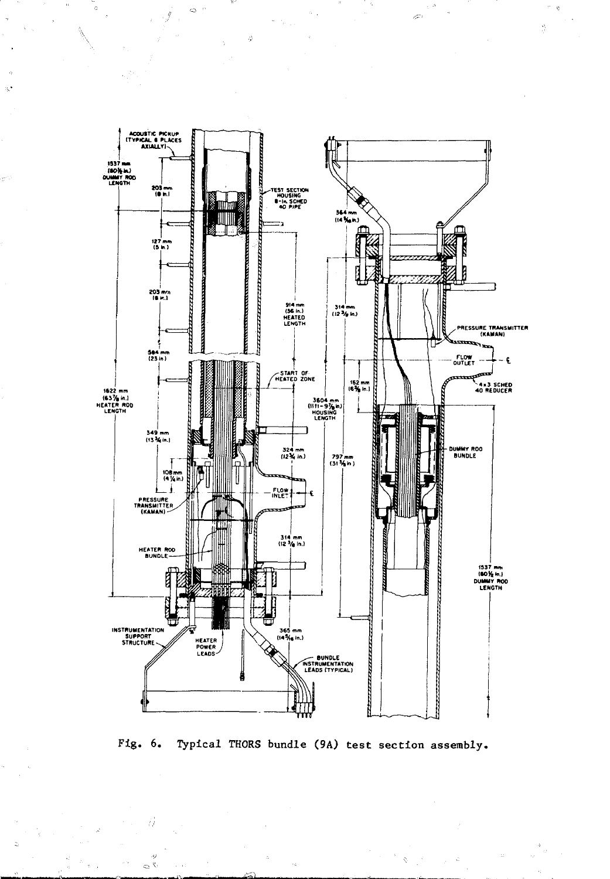

 $\hat{\sigma}=\hat{\sigma}$ 

 $\frac{\partial V}{\partial t}$ 

 $\cdot 1$ 

i.

Fig. 6. Typical THORS bundle (9A) test section assembly.

 $\hat{\phi}$  $\sim$ 

Ó

 $\bar{\mathcal{Q}}^{(-)}$ 

 $\hat{\phi}$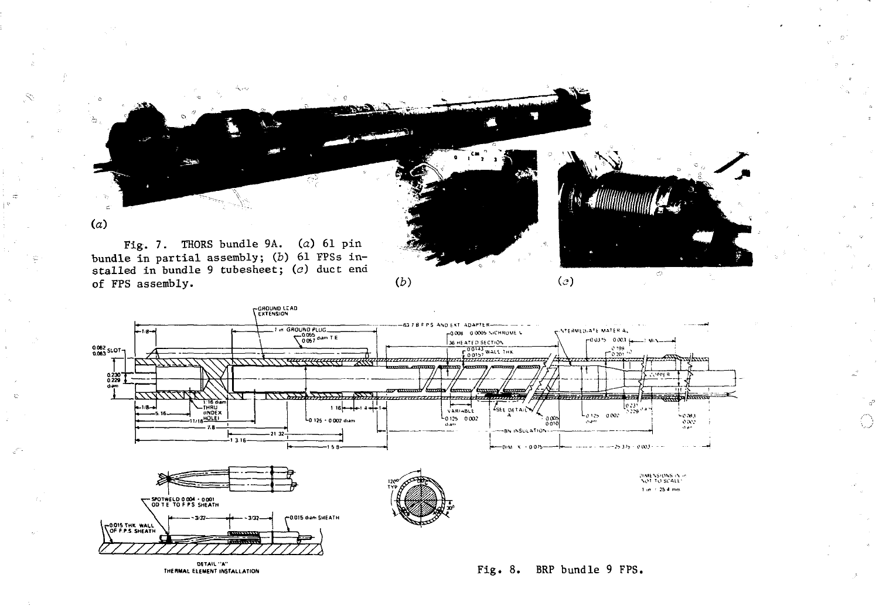

 $(b)$ 

න්

Ω

 $(c)$ 

stalled in bundle 9 tubesheet;  $(c)$  duct end of FPS assembly.

Ŷ,

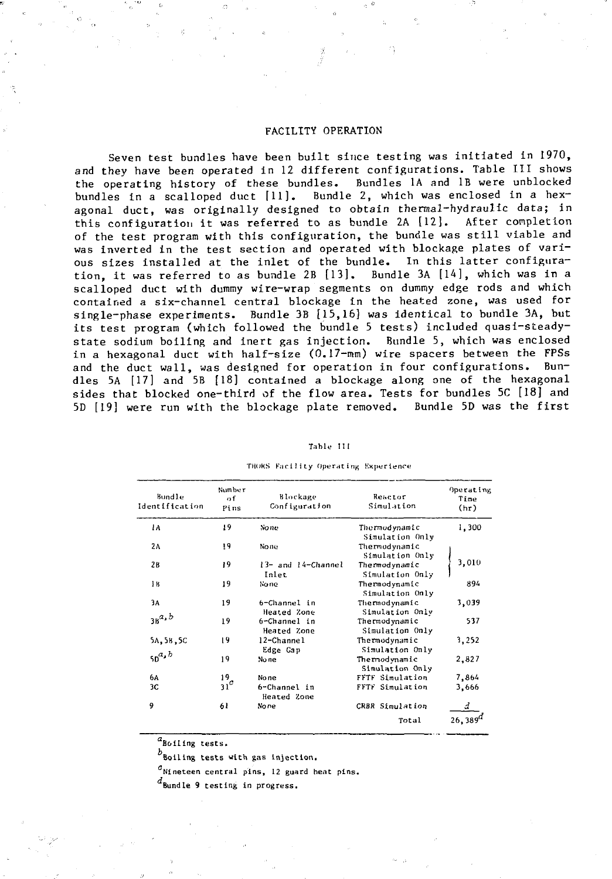## FACILITY OPERATION

Seven test bundles have been built since testing was initiated in 1970, and they have been operated in 12 different configurations. Table III shows the operating history of these bundles. Bundles 1A and IB were unblocked bundles in a scalloped duct [11]. Bundle 2, which was enclosed in a hexagonal duct, was originally designed to obtain thermal-hydraulic data; in this configuration it was referred to as bundle 2A [12]. After completion of the test program with this configuration, the bundle was still viable and was inverted in the test section and operated with blockage plates of vari-<br>ous sizes installed at the inlet of the bundle. In this latter configuraous sizes installed at the inlet of the bundle. In this latter configura-<br>tion, it was referred to as bundle 2B [13], Bundle 3A [14], which was in a tion, it was referred to as bundle  $2B$  [13]. scalloped duct with dummy wire-wrap segments on dummy edge rods and which contained a six-channel central blockage in the heated zone, was used for single-phase experiments. Bundle 3B [15,16] was identical to bundle 3A, but its test program (which followed the bundle 5 tests) included quasi-steadystate sodium boiling and inert gas injection. Bundle 5, which was enclosed in a hexagonal duct with half-size (0.17-mm) wire spacers between the FPSs and the duct wall, was designed for operation in four configurations. Bundles 5A [17] and 5B [18] contained a blockage along one of the hexagonal sides that blocked one-third of the flow area. Tests for bundles 5C [18] and 5D [19] were run with the blockage plate removed. Bundle 5D was the first

| Table: |  |
|--------|--|
|--------|--|

| Bundle<br>Identification | Number<br>οf<br>Pins | Blockage<br>Configuration   | Reactor<br>Simulation            | Operating<br>Time<br>(hr) |
|--------------------------|----------------------|-----------------------------|----------------------------------|---------------------------|
| 1A                       | 19                   | No ne                       | Thermodynamic<br>Simulation Only | 1,300                     |
| 2 <sub>A</sub>           | 19                   | None                        | Thermodynamic<br>Simulation Only |                           |
| 26                       | 19                   | 13- and 14-Channel<br>Inlet | Thermodynamic<br>Simulation Only | 3,010                     |
| łВ                       | 19                   | None                        | Thermodynamic<br>Simulation Only | 894                       |
| 3A                       | 19                   | 6-Channel in<br>Heated Zone | Thermodynamic<br>Simulation Only | 3,039                     |
| $3B^a$ , b               | 19                   | 6-Channel in<br>Heated Zone | Thermodynamic<br>Simulation Only | 537                       |
| 5A, 5B, 5C               | 19                   | 12-Channel<br>Edge Gap      | Thermodynamic<br>Simulation Only | 3,252                     |
| $50^{a,b}$               | 19                   | No ne                       | Thermodynamic<br>Simulation Only | 2,827                     |
| 6A                       | 19                   | None                        | FFTF Simulation                  | 7,864                     |
| 3C                       | $31^c$               | 6-Channel in<br>Heated Zone | FFTF Simulation                  | 3,666                     |
| 9                        | 61                   | None                        | CRBR Simulation                  |                           |
|                          |                      |                             | Total                            | $26,389^0$                |

**TMOKS Facility Operating Kxperience**

 $^{\alpha}$ Boiling tests.

**Boiling tests with gas Injection.**

**"Nineteen central pins, 12 guard heat pins.**

**Bundle 9 testing in progress.**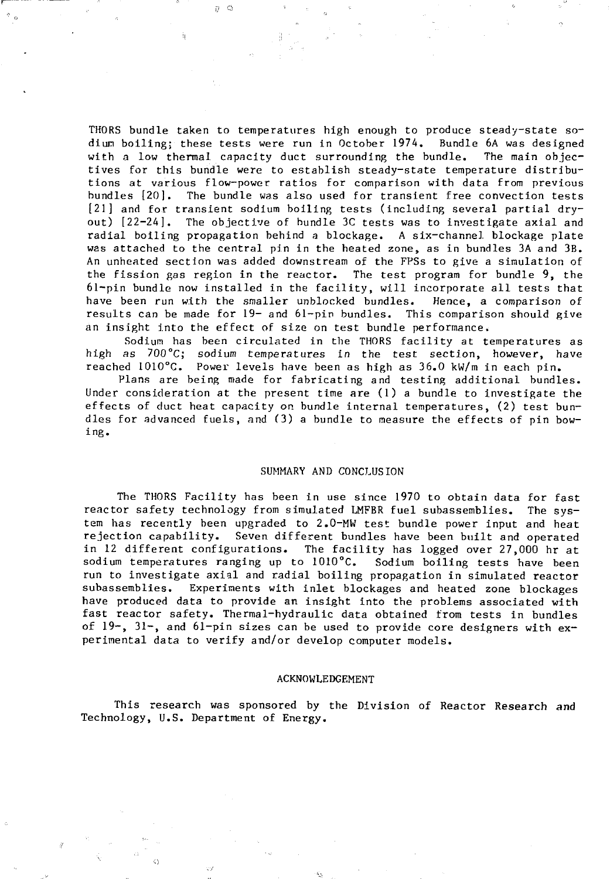THORS bundle taken to temperatures high enough to produce steady-state sodiun boiling; these tests were run in October 1974. Bundle 6A was designed with a low thermal capacity duct surrounding the bundle. The main objectives for this bundle were to establish steady-state temperature distributions at various flow-power ratios for comparison with data from previous bundles [20]. The bundle was also used for transient free convection tests [21] and for transient sodium boiling tests (including several partial dryout) [22-24]. The objective of bundle 3C tests was to investigate axial and radial boiling propagation behind a blockage. A six-channel blockage plate was attached to the central pin in the heated zone, as in bundles 3A and 3B. An unheated section was added downstream of the FPSs to give a simulation of the fission gas region in the reactor. The test program for bundle 9, the 61-pin bundle now installed in the facility, will incorporate all tests that have been run with the smaller unblocked bundles. Hence, a comparison of results can be made for 19- and 61-pin bundles. This comparison should give an insight into the effect of size on test bundle performance,

 $\eta \circ \varphi$ 

Sodium has been circulated in the THORS facility at temperatures as high as  $700^{\circ}$ C; sodium temperatures in the test section, however, have reached 1010°C. Power levels have been as high as 36.0 kW/m in each pin.

Plans are being made for fabricating and testing additional bundles. Under consideration at the present time are (1) a bundle to investigate the effects of duct heat capacity on bundle internal temperatures, (2) test bundles for advanced fuels, and (3) a bundle to measure the effects of pin bowing.

#### SUMMARY AND CONCLUSION

The THORS Facility has been in use since 1970 to obtain data for fast reactor safety technology from simulated LMFBR fuel subassemblies. The system has recently been upgraded to 2.0-MW test bundle power input and heat rejection capability. Seven different bundles have been built and operated in 12 different configurations. The facility has logged over 27,000 hr at sodium temperatures ranging up to 1010°C. Sodium boiling tests have been run to investigate axial and radial boiling propagation in simulated reactor subassemblles. Experiments with inlet blockages and heated zone blockages have produced data to provide an insight into the problems associated with fast reactor safety. Thermal-hydraulic data obtained from tests in bundles of  $19$ ,  $31$ , and  $61$ -pin sizes can be used to provide core designers with experimental data to verify and/or develop computer models.

## ACKNOWLEDGEMENT

This research was sponsored by the Division of Reactor Research and Technology, U.S. Department of Energy.